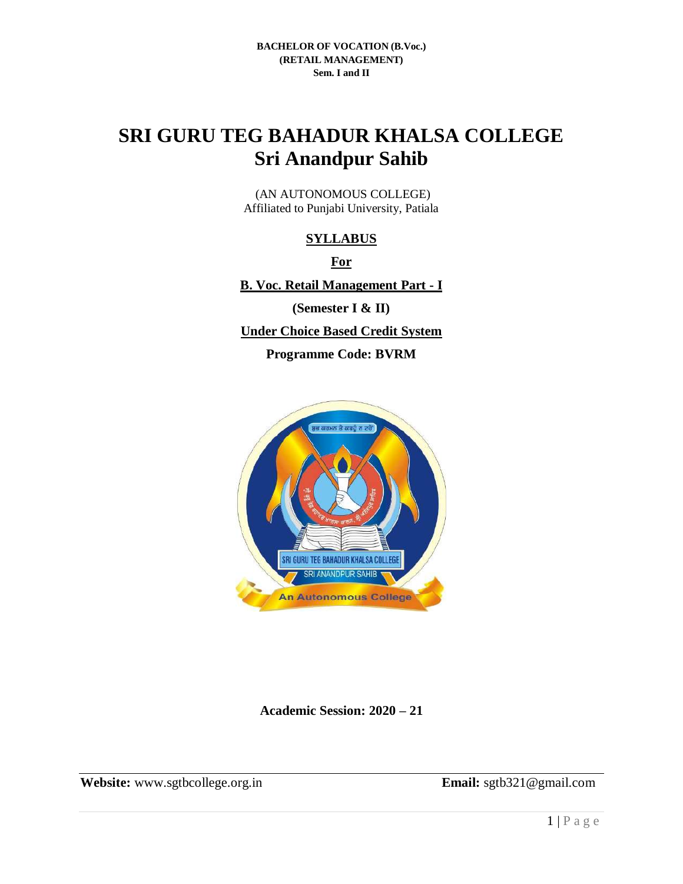# **SRI GURU TEG BAHADUR KHALSA COLLEGE Sri Anandpur Sahib**

(AN AUTONOMOUS COLLEGE) Affiliated to Punjabi University, Patiala

## **SYLLABUS**

**For** 

**B. Voc. Retail Management Part - I**

**(Semester I & II)**

**Under Choice Based Credit System** 

**Programme Code: BVRM**



**Academic Session: 2020 – 21**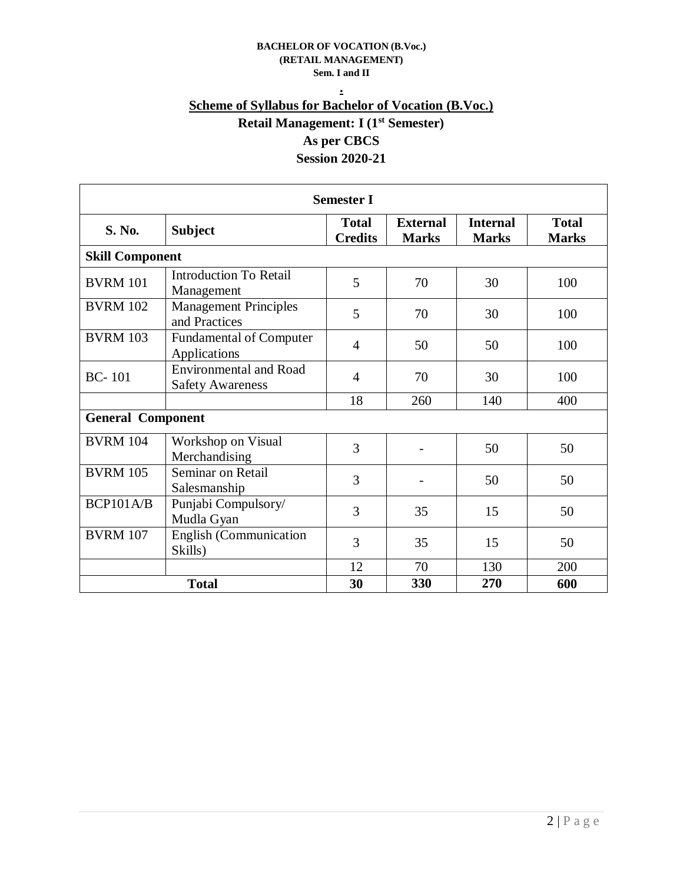## **. Scheme of Syllabus for Bachelor of Vocation (B.Voc.) Retail Management: I (1st Semester) As per CBCS Session 2020-21**

| <b>Semester I</b>        |                                                          |                                |                                 |                                 |                              |  |  |  |  |
|--------------------------|----------------------------------------------------------|--------------------------------|---------------------------------|---------------------------------|------------------------------|--|--|--|--|
| S. No.                   | <b>Subject</b>                                           | <b>Total</b><br><b>Credits</b> | <b>External</b><br><b>Marks</b> | <b>Internal</b><br><b>Marks</b> | <b>Total</b><br><b>Marks</b> |  |  |  |  |
| <b>Skill Component</b>   |                                                          |                                |                                 |                                 |                              |  |  |  |  |
| <b>BVRM 101</b>          | <b>Introduction To Retail</b><br>Management              | 5                              | 70                              | 30                              | 100                          |  |  |  |  |
| <b>BVRM 102</b>          | <b>Management Principles</b><br>and Practices            | 5                              | 70                              | 30                              | 100                          |  |  |  |  |
| <b>BVRM 103</b>          | <b>Fundamental of Computer</b><br>Applications           | $\overline{4}$                 | 50                              | 50                              | 100                          |  |  |  |  |
| $BC-101$                 | <b>Environmental and Road</b><br><b>Safety Awareness</b> | $\overline{4}$                 | 70                              | 30                              | 100                          |  |  |  |  |
|                          |                                                          | 18                             | 260                             | 140                             | 400                          |  |  |  |  |
| <b>General Component</b> |                                                          |                                |                                 |                                 |                              |  |  |  |  |
| <b>BVRM 104</b>          | Workshop on Visual<br>Merchandising                      | 3                              |                                 | 50                              | 50                           |  |  |  |  |
| <b>BVRM 105</b>          | Seminar on Retail<br>Salesmanship                        | 3                              |                                 | 50                              | 50                           |  |  |  |  |
| BCP101A/B                | Punjabi Compulsory/<br>Mudla Gyan                        | 3                              | 35                              | 15                              | 50                           |  |  |  |  |
| <b>BVRM 107</b>          | English (Communication<br>Skills)                        | 3                              | 35                              | 15                              | 50                           |  |  |  |  |
|                          |                                                          | 12                             | 70                              | 130                             | 200                          |  |  |  |  |
| <b>Total</b>             |                                                          | 30                             | 330                             | 270                             | 600                          |  |  |  |  |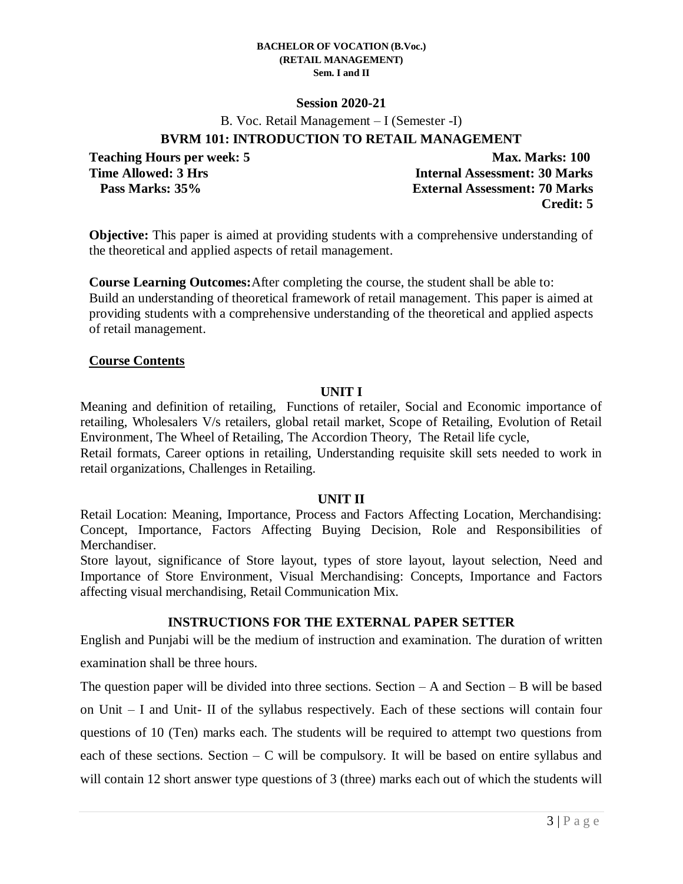### **Session 2020-21**

B. Voc. Retail Management – I (Semester -I)

## **BVRM 101: INTRODUCTION TO RETAIL MANAGEMENT**

**Teaching Hours per week: 5 Max. Marks: 100 Time Allowed: 3 Hrs Internal Assessment: 30 Marks Pass Marks: 35% External Assessment: 70 Marks Credit: 5**

**Objective:** This paper is aimed at providing students with a comprehensive understanding of the theoretical and applied aspects of retail management.

**Course Learning Outcomes:**After completing the course, the student shall be able to: Build an understanding of theoretical framework of retail management. This paper is aimed at providing students with a comprehensive understanding of the theoretical and applied aspects of retail management.

### **Course Contents**

### **UNIT I**

Meaning and definition of retailing, Functions of retailer, Social and Economic importance of retailing, Wholesalers V/s retailers, global retail market, Scope of Retailing, Evolution of Retail Environment, The Wheel of Retailing, The Accordion Theory, The Retail life cycle,

Retail formats, Career options in retailing, Understanding requisite skill sets needed to work in retail organizations, Challenges in Retailing.

### **UNIT II**

Retail Location: Meaning, Importance, Process and Factors Affecting Location, Merchandising: Concept, Importance, Factors Affecting Buying Decision, Role and Responsibilities of Merchandiser.

Store layout, significance of Store layout, types of store layout, layout selection, Need and Importance of Store Environment, Visual Merchandising: Concepts, Importance and Factors affecting visual merchandising, Retail Communication Mix.

## **INSTRUCTIONS FOR THE EXTERNAL PAPER SETTER**

English and Punjabi will be the medium of instruction and examination. The duration of written examination shall be three hours.

The question paper will be divided into three sections. Section  $-A$  and Section  $-B$  will be based on Unit – I and Unit- II of the syllabus respectively. Each of these sections will contain four questions of 10 (Ten) marks each. The students will be required to attempt two questions from each of these sections. Section – C will be compulsory. It will be based on entire syllabus and will contain 12 short answer type questions of 3 (three) marks each out of which the students will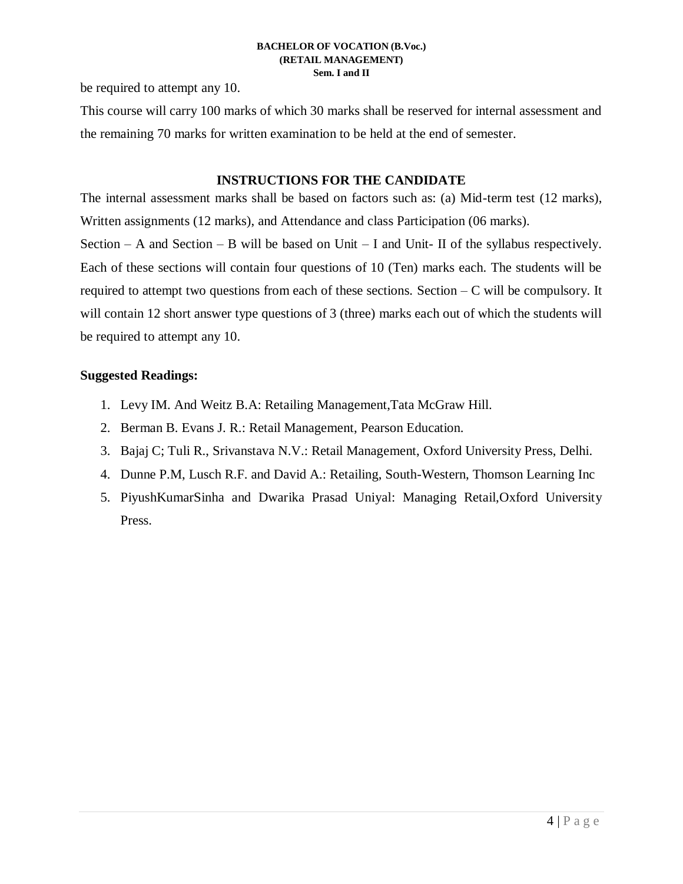be required to attempt any 10.

This course will carry 100 marks of which 30 marks shall be reserved for internal assessment and the remaining 70 marks for written examination to be held at the end of semester.

## **INSTRUCTIONS FOR THE CANDIDATE**

The internal assessment marks shall be based on factors such as: (a) Mid-term test (12 marks), Written assignments (12 marks), and Attendance and class Participation (06 marks).

Section – A and Section – B will be based on Unit – I and Unit- II of the syllabus respectively. Each of these sections will contain four questions of 10 (Ten) marks each. The students will be required to attempt two questions from each of these sections. Section  $-C$  will be compulsory. It will contain 12 short answer type questions of 3 (three) marks each out of which the students will be required to attempt any 10.

- 1. Levy IM. And Weitz B.A: Retailing Management,Tata McGraw Hill.
- 2. Berman B. Evans J. R.: Retail Management, Pearson Education.
- 3. Bajaj C; Tuli R., Srivanstava N.V.: Retail Management, Oxford University Press, Delhi.
- 4. Dunne P.M, Lusch R.F. and David A.: Retailing, South-Western, Thomson Learning Inc
- 5. PiyushKumarSinha and Dwarika Prasad Uniyal: Managing Retail,Oxford University Press.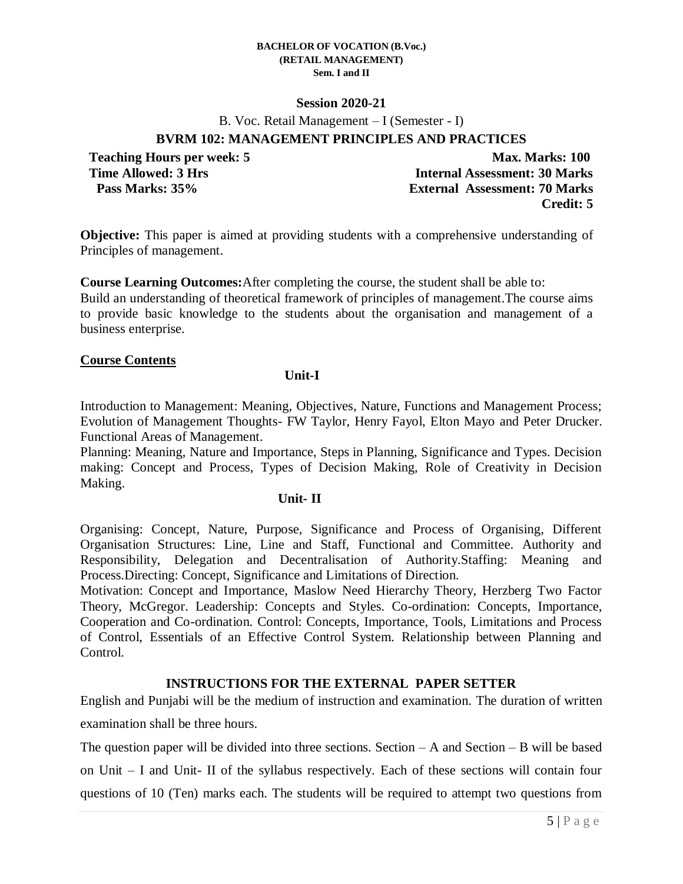### **Session 2020-21**

B. Voc. Retail Management – I (Semester - I)

## **BVRM 102: MANAGEMENT PRINCIPLES AND PRACTICES**

**Teaching Hours per week: 5 Max. Marks: 100 Time Allowed: 3 Hrs Internal Assessment: 30 Marks Pass Marks: 35% External Assessment: 70 Marks Credit: 5**

**Objective:** This paper is aimed at providing students with a comprehensive understanding of Principles of management.

**Course Learning Outcomes:**After completing the course, the student shall be able to: Build an understanding of theoretical framework of principles of management.The course aims to provide basic knowledge to the students about the organisation and management of a business enterprise.

### **Course Contents**

### **Unit-I**

Introduction to Management: Meaning, Objectives, Nature, Functions and Management Process; Evolution of Management Thoughts- FW Taylor, Henry Fayol, Elton Mayo and Peter Drucker. Functional Areas of Management.

Planning: Meaning, Nature and Importance, Steps in Planning, Significance and Types. Decision making: Concept and Process, Types of Decision Making, Role of Creativity in Decision Making.

### **Unit- II**

Organising: Concept, Nature, Purpose, Significance and Process of Organising, Different Organisation Structures: Line, Line and Staff, Functional and Committee. Authority and Responsibility, Delegation and Decentralisation of Authority.Staffing: Meaning and Process.Directing: Concept, Significance and Limitations of Direction.

Motivation: Concept and Importance, Maslow Need Hierarchy Theory, Herzberg Two Factor Theory, McGregor. Leadership: Concepts and Styles. Co-ordination: Concepts, Importance, Cooperation and Co-ordination. Control: Concepts, Importance, Tools, Limitations and Process of Control, Essentials of an Effective Control System. Relationship between Planning and Control.

## **INSTRUCTIONS FOR THE EXTERNAL PAPER SETTER**

English and Punjabi will be the medium of instruction and examination. The duration of written examination shall be three hours.

The question paper will be divided into three sections. Section  $-A$  and Section  $-B$  will be based on Unit – I and Unit- II of the syllabus respectively. Each of these sections will contain four questions of 10 (Ten) marks each. The students will be required to attempt two questions from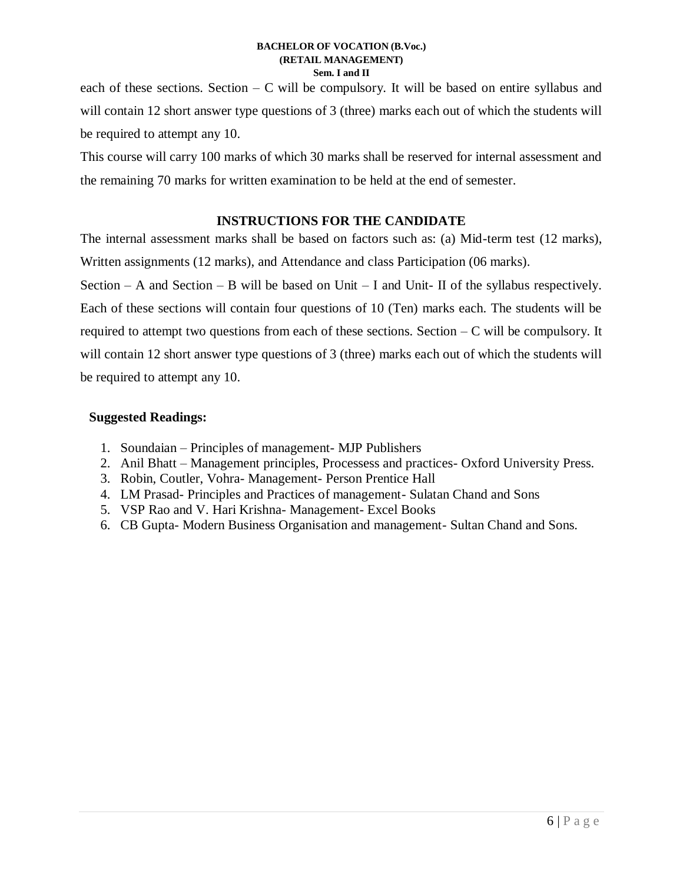each of these sections. Section  $-C$  will be compulsory. It will be based on entire syllabus and will contain 12 short answer type questions of 3 (three) marks each out of which the students will be required to attempt any 10.

This course will carry 100 marks of which 30 marks shall be reserved for internal assessment and the remaining 70 marks for written examination to be held at the end of semester.

## **INSTRUCTIONS FOR THE CANDIDATE**

The internal assessment marks shall be based on factors such as: (a) Mid-term test (12 marks), Written assignments (12 marks), and Attendance and class Participation (06 marks).

Section – A and Section – B will be based on Unit – I and Unit- II of the syllabus respectively. Each of these sections will contain four questions of 10 (Ten) marks each. The students will be required to attempt two questions from each of these sections. Section  $-C$  will be compulsory. It will contain 12 short answer type questions of 3 (three) marks each out of which the students will be required to attempt any 10.

- 1. Soundaian Principles of management- MJP Publishers
- 2. Anil Bhatt Management principles, Processess and practices- Oxford University Press.
- 3. Robin, Coutler, Vohra- Management- Person Prentice Hall
- 4. LM Prasad- Principles and Practices of management- Sulatan Chand and Sons
- 5. VSP Rao and V. Hari Krishna- Management- Excel Books
- 6. CB Gupta- Modern Business Organisation and management- Sultan Chand and Sons.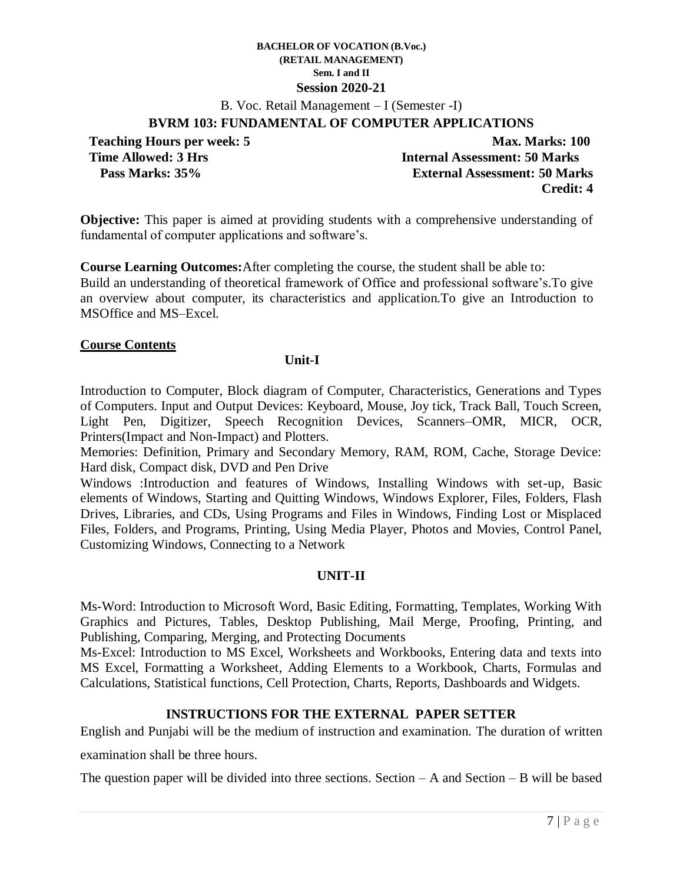B. Voc. Retail Management – I (Semester -I)

### **BVRM 103: FUNDAMENTAL OF COMPUTER APPLICATIONS**

**Teaching Hours per week: 5 Max. Marks: 100 Time Allowed: 3 Hrs Internal Assessment: 50 Marks Pass Marks: 35% External Assessment: 50 Marks Credit: 4**

**Objective:** This paper is aimed at providing students with a comprehensive understanding of fundamental of computer applications and software's.

**Course Learning Outcomes:**After completing the course, the student shall be able to: Build an understanding of theoretical framework of Office and professional software's.To give an overview about computer, its characteristics and application.To give an Introduction to MSOffice and MS–Excel.

### **Course Contents**

### **Unit-I**

Introduction to Computer, Block diagram of Computer, Characteristics, Generations and Types of Computers. Input and Output Devices: Keyboard, Mouse, Joy tick, Track Ball, Touch Screen, Light Pen, Digitizer, Speech Recognition Devices, Scanners–OMR, MICR, OCR, Printers(Impact and Non-Impact) and Plotters.

Memories: Definition, Primary and Secondary Memory, RAM, ROM, Cache, Storage Device: Hard disk, Compact disk, DVD and Pen Drive

Windows :Introduction and features of Windows, Installing Windows with set-up, Basic elements of Windows, Starting and Quitting Windows, Windows Explorer, Files, Folders, Flash Drives, Libraries, and CDs, Using Programs and Files in Windows, Finding Lost or Misplaced Files, Folders, and Programs, Printing, Using Media Player, Photos and Movies, Control Panel, Customizing Windows, Connecting to a Network

## **UNIT-II**

Ms-Word: Introduction to Microsoft Word, Basic Editing, Formatting, Templates, Working With Graphics and Pictures, Tables, Desktop Publishing, Mail Merge, Proofing, Printing, and Publishing, Comparing, Merging, and Protecting Documents

Ms-Excel: Introduction to MS Excel, Worksheets and Workbooks, Entering data and texts into MS Excel, Formatting a Worksheet, Adding Elements to a Workbook, Charts, Formulas and Calculations, Statistical functions, Cell Protection, Charts, Reports, Dashboards and Widgets.

## **INSTRUCTIONS FOR THE EXTERNAL PAPER SETTER**

English and Punjabi will be the medium of instruction and examination. The duration of written

examination shall be three hours.

The question paper will be divided into three sections. Section  $-A$  and Section  $-B$  will be based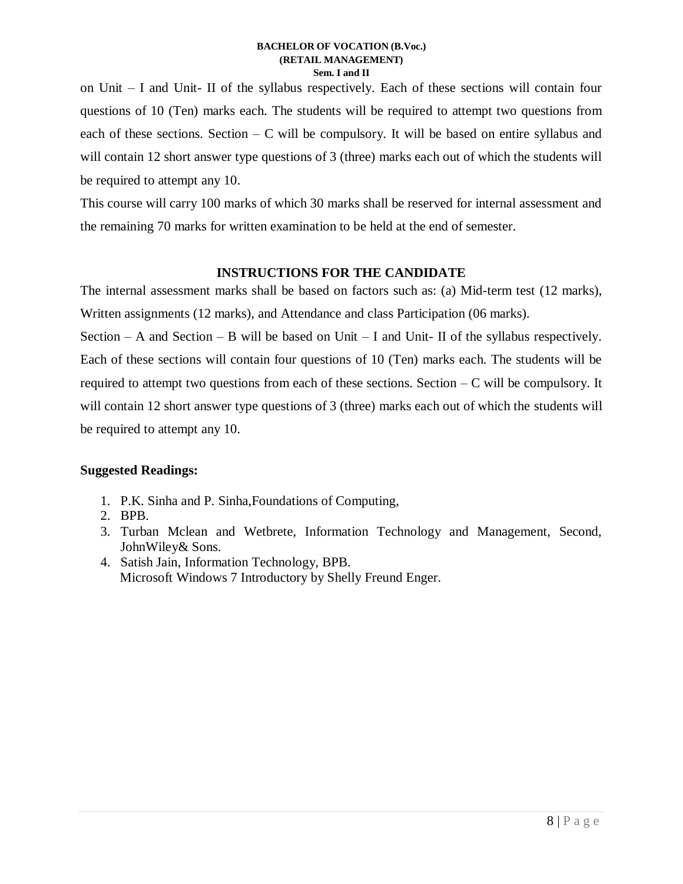on Unit – I and Unit- II of the syllabus respectively. Each of these sections will contain four questions of 10 (Ten) marks each. The students will be required to attempt two questions from each of these sections. Section  $- C$  will be compulsory. It will be based on entire syllabus and will contain 12 short answer type questions of 3 (three) marks each out of which the students will be required to attempt any 10.

This course will carry 100 marks of which 30 marks shall be reserved for internal assessment and the remaining 70 marks for written examination to be held at the end of semester.

## **INSTRUCTIONS FOR THE CANDIDATE**

The internal assessment marks shall be based on factors such as: (a) Mid-term test (12 marks), Written assignments (12 marks), and Attendance and class Participation (06 marks).

Section – A and Section – B will be based on Unit – I and Unit- II of the syllabus respectively. Each of these sections will contain four questions of 10 (Ten) marks each. The students will be required to attempt two questions from each of these sections. Section  $-C$  will be compulsory. It will contain 12 short answer type questions of 3 (three) marks each out of which the students will be required to attempt any 10.

- 1. P.K. Sinha and P. Sinha,Foundations of Computing,
- 2. BPB.
- 3. Turban Mclean and Wetbrete, Information Technology and Management, Second, JohnWiley& Sons.
- 4. Satish Jain, Information Technology, BPB. Microsoft Windows 7 Introductory by Shelly Freund Enger.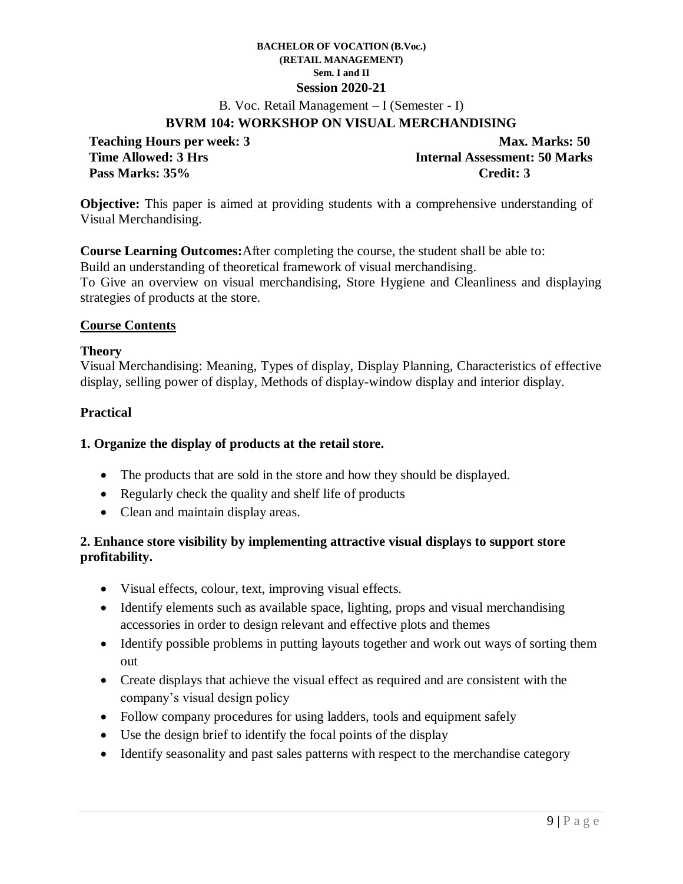B. Voc. Retail Management – I (Semester - I)

## **BVRM 104: WORKSHOP ON VISUAL MERCHANDISING**

**Pass Marks: 35% Credit: 3**

**Teaching Hours per week: 3** Max. Marks: 50 **Time Allowed: 3 Hrs Internal Assessment: 50 Marks** 

**Objective:** This paper is aimed at providing students with a comprehensive understanding of Visual Merchandising.

**Course Learning Outcomes:**After completing the course, the student shall be able to: Build an understanding of theoretical framework of visual merchandising. To Give an overview on visual merchandising, Store Hygiene and Cleanliness and displaying strategies of products at the store.

## **Course Contents**

### **Theory**

Visual Merchandising: Meaning, Types of display, Display Planning, Characteristics of effective display, selling power of display, Methods of display-window display and interior display.

## **Practical**

### **1. Organize the display of products at the retail store.**

- The products that are sold in the store and how they should be displayed.
- Regularly check the quality and shelf life of products
- Clean and maintain display areas.

## **2. Enhance store visibility by implementing attractive visual displays to support store profitability.**

- Visual effects, colour, text, improving visual effects.
- Identify elements such as available space, lighting, props and visual merchandising accessories in order to design relevant and effective plots and themes
- Identify possible problems in putting layouts together and work out ways of sorting them out
- Create displays that achieve the visual effect as required and are consistent with the company's visual design policy
- Follow company procedures for using ladders, tools and equipment safely
- Use the design brief to identify the focal points of the display
- Identify seasonality and past sales patterns with respect to the merchandise category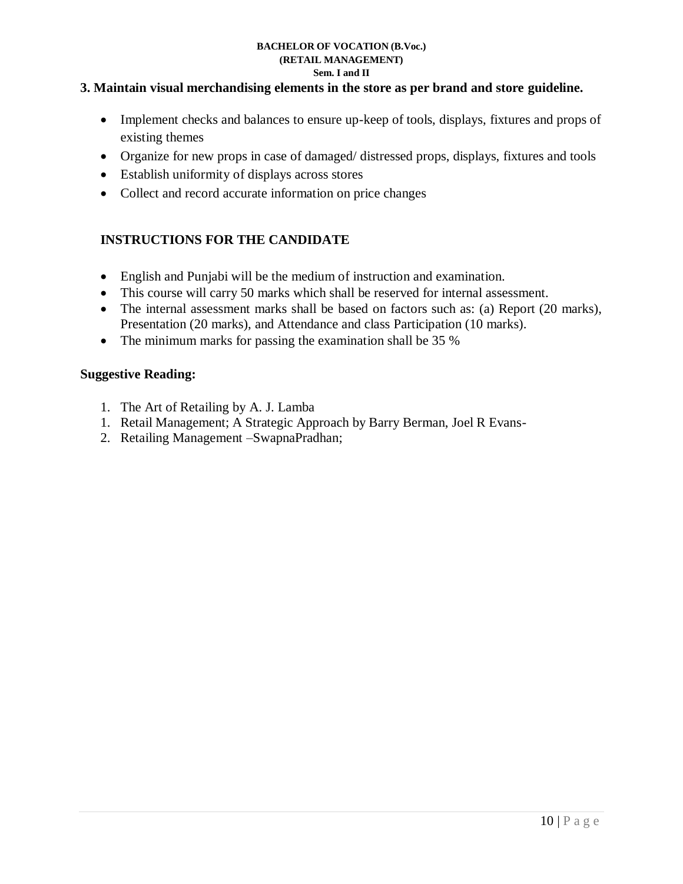## **3. Maintain visual merchandising elements in the store as per brand and store guideline.**

- Implement checks and balances to ensure up-keep of tools, displays, fixtures and props of existing themes
- Organize for new props in case of damaged/ distressed props, displays, fixtures and tools
- Establish uniformity of displays across stores
- Collect and record accurate information on price changes

## **INSTRUCTIONS FOR THE CANDIDATE**

- English and Punjabi will be the medium of instruction and examination.
- This course will carry 50 marks which shall be reserved for internal assessment.
- The internal assessment marks shall be based on factors such as: (a) Report (20 marks), Presentation (20 marks), and Attendance and class Participation (10 marks).
- The minimum marks for passing the examination shall be 35 %

## **Suggestive Reading:**

- 1. The Art of Retailing by A. J. Lamba
- 1. Retail Management; A Strategic Approach by Barry Berman, Joel R Evans-
- 2. Retailing Management –SwapnaPradhan;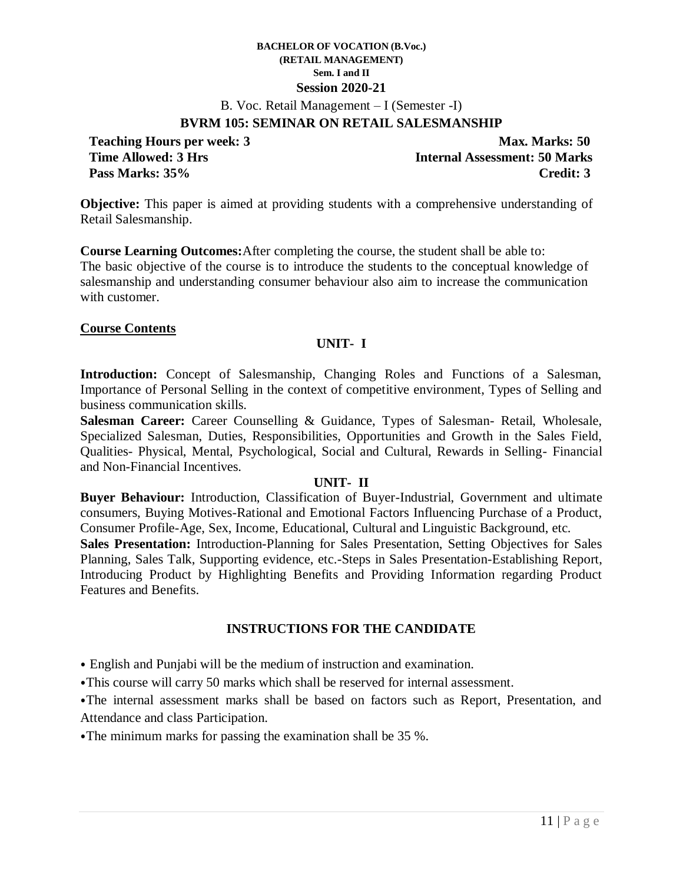B. Voc. Retail Management – I (Semester -I)

### **BVRM 105: SEMINAR ON RETAIL SALESMANSHIP**

**Teaching Hours per week: 3** Max. Marks: 50 **Time Allowed: 3 Hrs Internal Assessment: 50 Marks Pass Marks: 35% Credit: 3**

**Objective:** This paper is aimed at providing students with a comprehensive understanding of Retail Salesmanship.

**Course Learning Outcomes:**After completing the course, the student shall be able to: The basic objective of the course is to introduce the students to the conceptual knowledge of salesmanship and understanding consumer behaviour also aim to increase the communication with customer.

### **Course Contents**

### **UNIT- I**

**Introduction:** Concept of Salesmanship, Changing Roles and Functions of a Salesman, Importance of Personal Selling in the context of competitive environment, Types of Selling and business communication skills.

Salesman Career: Career Counselling & Guidance, Types of Salesman- Retail, Wholesale, Specialized Salesman, Duties, Responsibilities, Opportunities and Growth in the Sales Field, Qualities- Physical, Mental, Psychological, Social and Cultural, Rewards in Selling- Financial and Non-Financial Incentives.

### **UNIT- II**

**Buyer Behaviour:** Introduction, Classification of Buyer-Industrial, Government and ultimate consumers, Buying Motives-Rational and Emotional Factors Influencing Purchase of a Product, Consumer Profile-Age, Sex, Income, Educational, Cultural and Linguistic Background, etc.

**Sales Presentation:** Introduction-Planning for Sales Presentation, Setting Objectives for Sales Planning, Sales Talk, Supporting evidence, etc.-Steps in Sales Presentation-Establishing Report, Introducing Product by Highlighting Benefits and Providing Information regarding Product Features and Benefits.

## **INSTRUCTIONS FOR THE CANDIDATE**

- ⦁ English and Punjabi will be the medium of instruction and examination.
- ⦁This course will carry 50 marks which shall be reserved for internal assessment.

⦁The internal assessment marks shall be based on factors such as Report, Presentation, and Attendance and class Participation.

⦁The minimum marks for passing the examination shall be 35 %.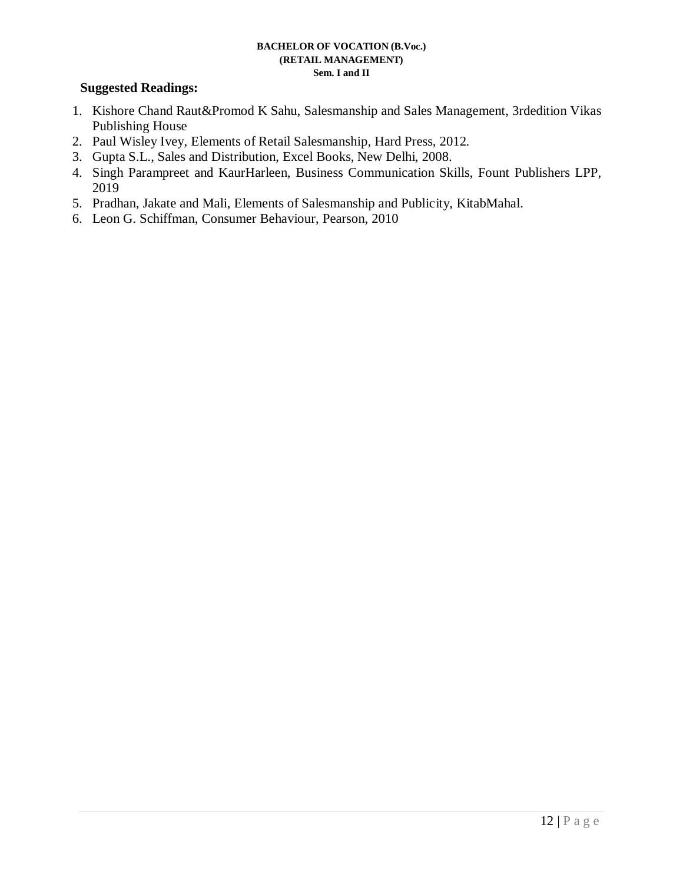- 1. Kishore Chand Raut&Promod K Sahu, Salesmanship and Sales Management, 3rdedition Vikas Publishing House
- 2. Paul Wisley Ivey, Elements of Retail Salesmanship, Hard Press, 2012.
- 3. Gupta S.L., Sales and Distribution, Excel Books, New Delhi, 2008.
- 4. Singh Parampreet and KaurHarleen, Business Communication Skills, Fount Publishers LPP, 2019
- 5. Pradhan, Jakate and Mali, Elements of Salesmanship and Publicity, KitabMahal.
- 6. Leon G. Schiffman, Consumer Behaviour, Pearson, 2010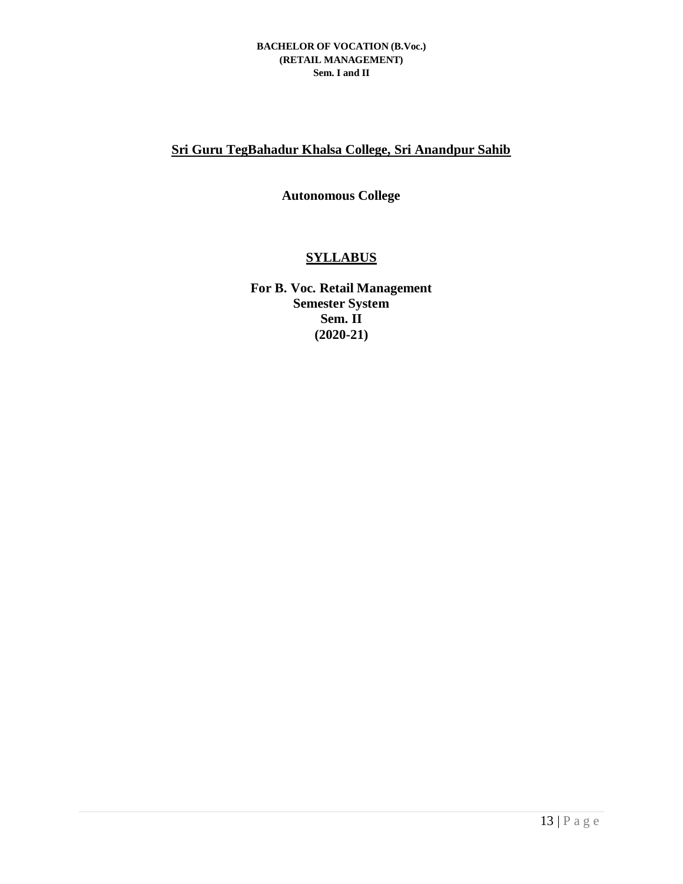## **Sri Guru TegBahadur Khalsa College, Sri Anandpur Sahib**

## **Autonomous College**

## **SYLLABUS**

**For B. Voc. Retail Management Semester System Sem. II (2020-21)**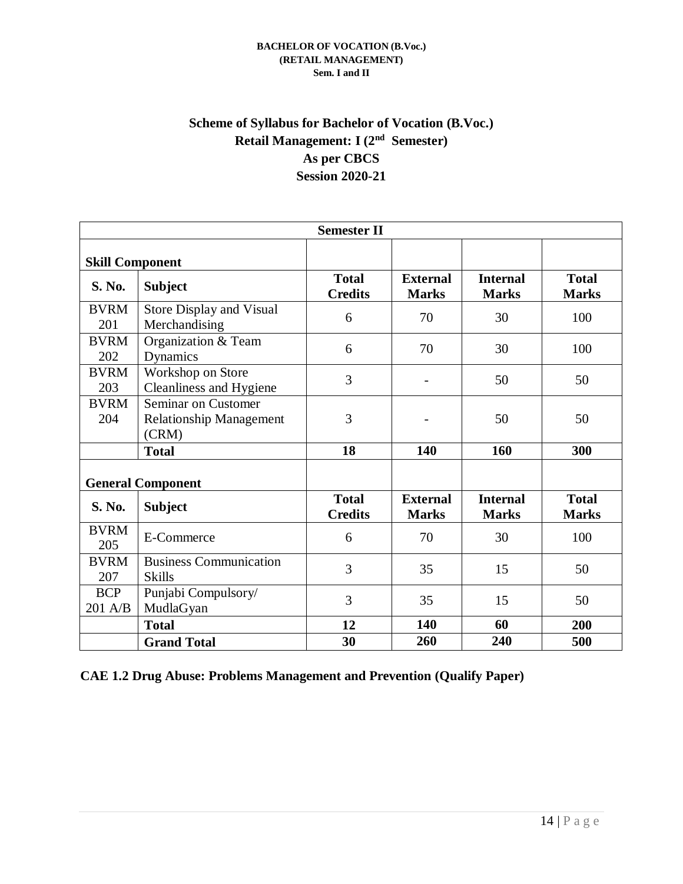## **Scheme of Syllabus for Bachelor of Vocation (B.Voc.) Retail Management: I (2nd Semester) As per CBCS Session 2020-21**

| <b>Semester II</b>       |                                                                |                                |                                 |                                 |                              |  |  |  |
|--------------------------|----------------------------------------------------------------|--------------------------------|---------------------------------|---------------------------------|------------------------------|--|--|--|
| <b>Skill Component</b>   |                                                                |                                |                                 |                                 |                              |  |  |  |
| <b>S. No.</b>            | <b>Subject</b>                                                 | <b>Total</b><br><b>Credits</b> | <b>External</b><br><b>Marks</b> | <b>Internal</b><br><b>Marks</b> | <b>Total</b><br><b>Marks</b> |  |  |  |
| <b>BVRM</b><br>201       | Store Display and Visual<br>Merchandising                      | 6                              | 70                              | 30                              | 100                          |  |  |  |
| <b>BVRM</b><br>202       | Organization & Team<br><b>Dynamics</b>                         | 6                              | 70                              | 30                              | 100                          |  |  |  |
| <b>BVRM</b><br>203       | Workshop on Store<br>Cleanliness and Hygiene                   | 3                              |                                 | 50                              | 50                           |  |  |  |
| <b>BVRM</b><br>204       | Seminar on Customer<br><b>Relationship Management</b><br>(CRM) | 3                              |                                 | 50                              | 50                           |  |  |  |
|                          | <b>Total</b>                                                   | 18                             | 140                             | 160                             | 300                          |  |  |  |
| <b>General Component</b> |                                                                |                                |                                 |                                 |                              |  |  |  |
| <b>S. No.</b>            | <b>Subject</b>                                                 | <b>Total</b><br><b>Credits</b> | <b>External</b><br><b>Marks</b> | <b>Internal</b><br><b>Marks</b> | <b>Total</b><br><b>Marks</b> |  |  |  |
| <b>BVRM</b><br>205       | E-Commerce                                                     | 6                              | 70                              | 30                              | 100                          |  |  |  |
| <b>BVRM</b><br>207       | <b>Business Communication</b><br><b>Skills</b>                 | 3                              | 35                              | 15                              | 50                           |  |  |  |
| <b>BCP</b><br>201 A/B    | Punjabi Compulsory/<br>MudlaGyan                               | 3                              | 35                              | 15                              | 50                           |  |  |  |
|                          | <b>Total</b>                                                   | 12                             | 140                             | 60                              | 200                          |  |  |  |
|                          | <b>Grand Total</b>                                             | 30                             | 260                             | 240                             | 500                          |  |  |  |

**CAE 1.2 Drug Abuse: Problems Management and Prevention (Qualify Paper)**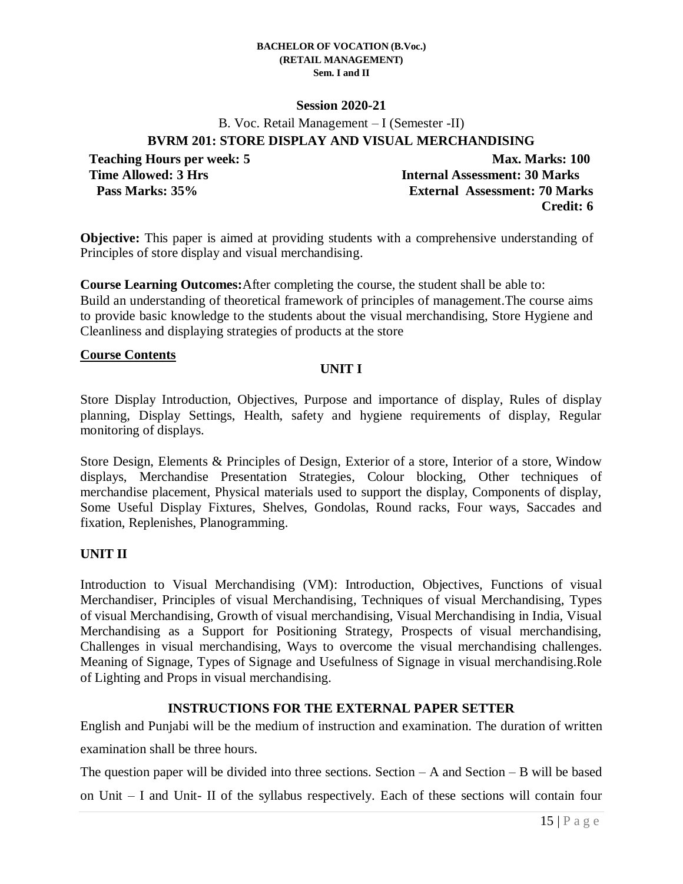### **Session 2020-21**

B. Voc. Retail Management – I (Semester -II)

**BVRM 201: STORE DISPLAY AND VISUAL MERCHANDISING**

**Teaching Hours per week: 5 Max. Marks: 100 Time Allowed: 3 Hrs Internal Assessment: 30 Marks Pass Marks: 35% External Assessment: 70 Marks Credit: 6**

**Objective:** This paper is aimed at providing students with a comprehensive understanding of Principles of store display and visual merchandising.

**Course Learning Outcomes:**After completing the course, the student shall be able to: Build an understanding of theoretical framework of principles of management.The course aims to provide basic knowledge to the students about the visual merchandising, Store Hygiene and Cleanliness and displaying strategies of products at the store

### **Course Contents**

## **UNIT I**

Store Display Introduction, Objectives, Purpose and importance of display, Rules of display planning, Display Settings, Health, safety and hygiene requirements of display, Regular monitoring of displays.

Store Design, Elements & Principles of Design, Exterior of a store, Interior of a store, Window displays, Merchandise Presentation Strategies, Colour blocking, Other techniques of merchandise placement, Physical materials used to support the display, Components of display, Some Useful Display Fixtures, Shelves, Gondolas, Round racks, Four ways, Saccades and fixation, Replenishes, Planogramming.

## **UNIT II**

Introduction to Visual Merchandising (VM): Introduction, Objectives, Functions of visual Merchandiser, Principles of visual Merchandising, Techniques of visual Merchandising, Types of visual Merchandising, Growth of visual merchandising, Visual Merchandising in India, Visual Merchandising as a Support for Positioning Strategy, Prospects of visual merchandising, Challenges in visual merchandising, Ways to overcome the visual merchandising challenges. Meaning of Signage, Types of Signage and Usefulness of Signage in visual merchandising.Role of Lighting and Props in visual merchandising.

## **INSTRUCTIONS FOR THE EXTERNAL PAPER SETTER**

English and Punjabi will be the medium of instruction and examination. The duration of written examination shall be three hours.

The question paper will be divided into three sections. Section  $-A$  and Section  $-B$  will be based on Unit – I and Unit- II of the syllabus respectively. Each of these sections will contain four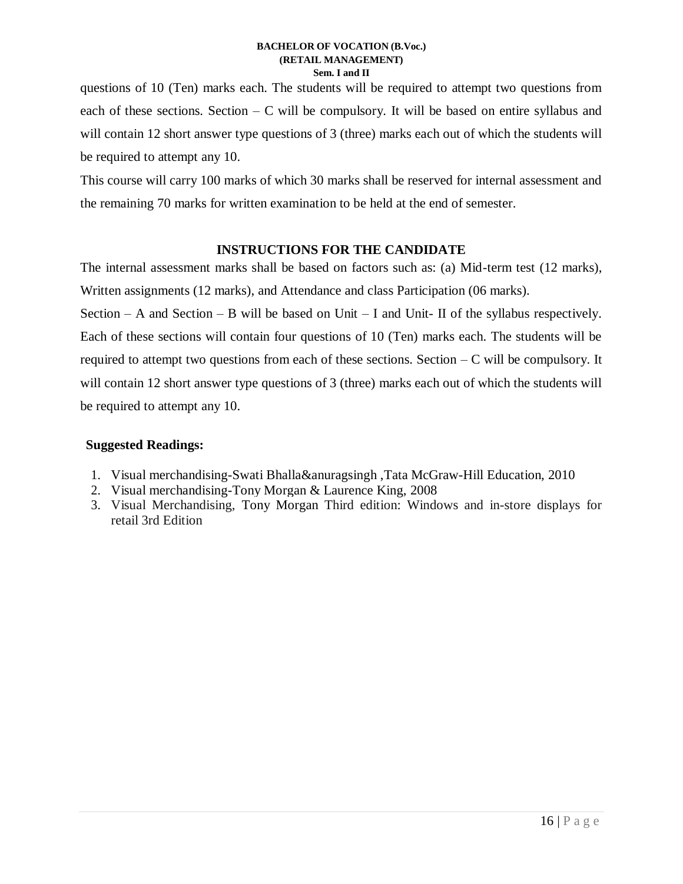questions of 10 (Ten) marks each. The students will be required to attempt two questions from each of these sections. Section  $-C$  will be compulsory. It will be based on entire syllabus and will contain 12 short answer type questions of 3 (three) marks each out of which the students will be required to attempt any 10.

This course will carry 100 marks of which 30 marks shall be reserved for internal assessment and the remaining 70 marks for written examination to be held at the end of semester.

## **INSTRUCTIONS FOR THE CANDIDATE**

The internal assessment marks shall be based on factors such as: (a) Mid-term test (12 marks), Written assignments (12 marks), and Attendance and class Participation (06 marks).

Section – A and Section – B will be based on Unit – I and Unit- II of the syllabus respectively. Each of these sections will contain four questions of 10 (Ten) marks each. The students will be required to attempt two questions from each of these sections. Section  $-C$  will be compulsory. It will contain 12 short answer type questions of 3 (three) marks each out of which the students will be required to attempt any 10.

- 1. Visual merchandising-Swati Bhalla&anuragsingh ,Tata McGraw-Hill Education, 2010
- 2. Visual merchandising-Tony Morgan & Laurence King, 2008
- 3. Visual Merchandising, Tony Morgan Third edition: Windows and in-store displays for retail 3rd Edition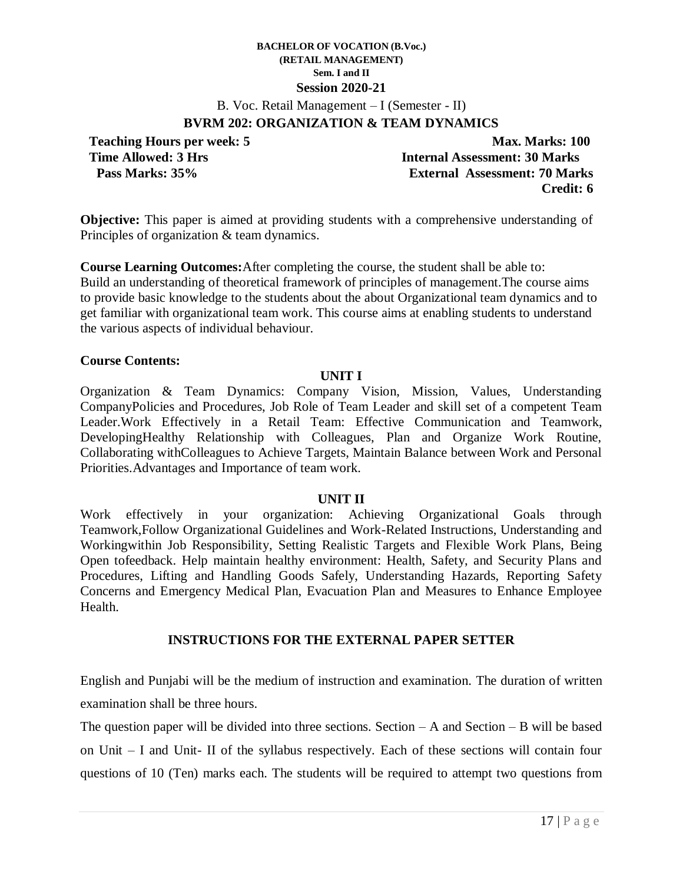B. Voc. Retail Management – I (Semester - II)

## **BVRM 202: ORGANIZATION & TEAM DYNAMICS**

**Teaching Hours per week: 5 Max. Marks: 100 Time Allowed: 3 Hrs Internal Assessment: 30 Marks Pass Marks: 35% External Assessment: 70 Marks Credit: 6**

**Objective:** This paper is aimed at providing students with a comprehensive understanding of Principles of organization & team dynamics.

**Course Learning Outcomes:**After completing the course, the student shall be able to: Build an understanding of theoretical framework of principles of management.The course aims to provide basic knowledge to the students about the about Organizational team dynamics and to get familiar with organizational team work. This course aims at enabling students to understand the various aspects of individual behaviour.

## **Course Contents:**

### **UNIT I**

Organization & Team Dynamics: Company Vision, Mission, Values, Understanding CompanyPolicies and Procedures, Job Role of Team Leader and skill set of a competent Team Leader.Work Effectively in a Retail Team: Effective Communication and Teamwork, DevelopingHealthy Relationship with Colleagues, Plan and Organize Work Routine, Collaborating withColleagues to Achieve Targets, Maintain Balance between Work and Personal Priorities.Advantages and Importance of team work.

### **UNIT II**

Work effectively in your organization: Achieving Organizational Goals through Teamwork,Follow Organizational Guidelines and Work-Related Instructions, Understanding and Workingwithin Job Responsibility, Setting Realistic Targets and Flexible Work Plans, Being Open tofeedback. Help maintain healthy environment: Health, Safety, and Security Plans and Procedures, Lifting and Handling Goods Safely, Understanding Hazards, Reporting Safety Concerns and Emergency Medical Plan, Evacuation Plan and Measures to Enhance Employee Health.

## **INSTRUCTIONS FOR THE EXTERNAL PAPER SETTER**

English and Punjabi will be the medium of instruction and examination. The duration of written examination shall be three hours.

The question paper will be divided into three sections. Section  $-A$  and Section  $-B$  will be based on Unit – I and Unit- II of the syllabus respectively. Each of these sections will contain four questions of 10 (Ten) marks each. The students will be required to attempt two questions from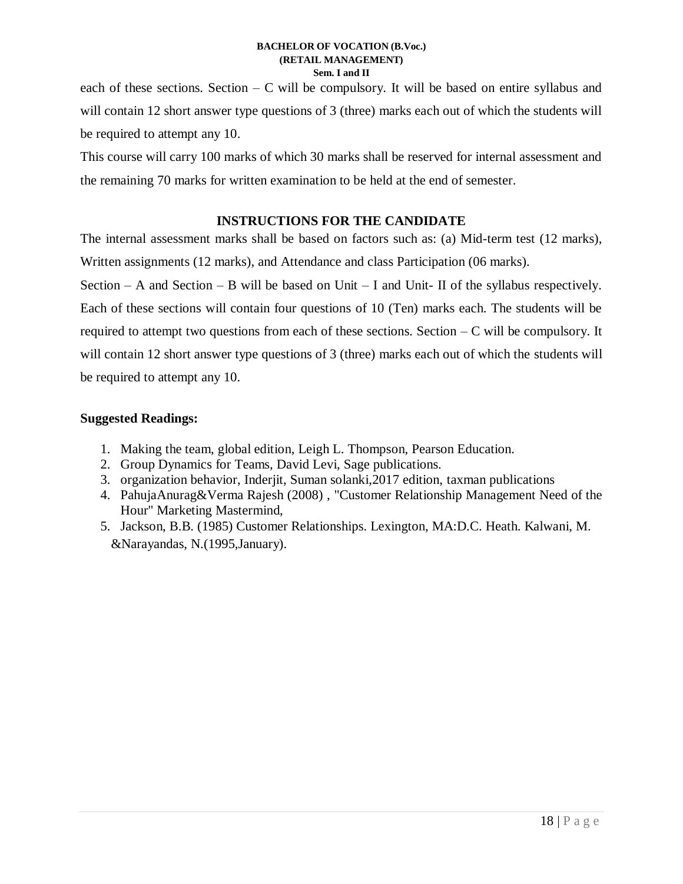each of these sections. Section  $-C$  will be compulsory. It will be based on entire syllabus and will contain 12 short answer type questions of 3 (three) marks each out of which the students will be required to attempt any 10.

This course will carry 100 marks of which 30 marks shall be reserved for internal assessment and the remaining 70 marks for written examination to be held at the end of semester.

## **INSTRUCTIONS FOR THE CANDIDATE**

The internal assessment marks shall be based on factors such as: (a) Mid-term test (12 marks), Written assignments (12 marks), and Attendance and class Participation (06 marks).

Section – A and Section – B will be based on Unit – I and Unit- II of the syllabus respectively. Each of these sections will contain four questions of 10 (Ten) marks each. The students will be required to attempt two questions from each of these sections. Section  $-C$  will be compulsory. It will contain 12 short answer type questions of 3 (three) marks each out of which the students will be required to attempt any 10.

- 1. Making the team, global edition, Leigh L. Thompson, Pearson Education.
- 2. Group Dynamics for Teams, David Levi, Sage publications.
- 3. organization behavior, Inderjit, Suman solanki,2017 edition, taxman publications
- 4. PahujaAnurag&Verma Rajesh (2008) , "Customer Relationship Management Need of the Hour" Marketing Mastermind,
- 5. Jackson, B.B. (1985) Customer Relationships. Lexington, MA:D.C. Heath. Kalwani, M. &Narayandas, N.(1995,January).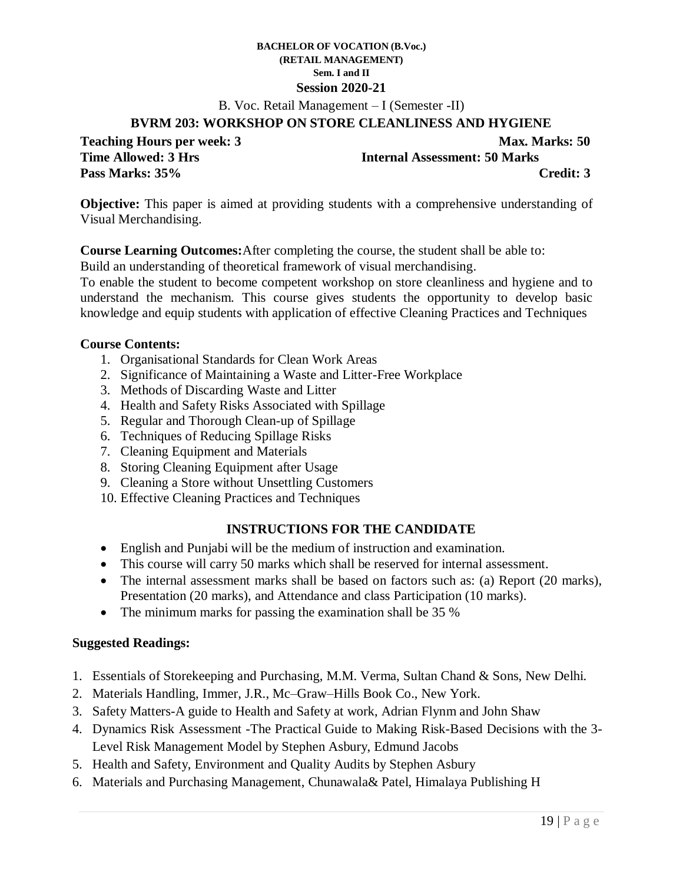B. Voc. Retail Management – I (Semester -II)

### **BVRM 203: WORKSHOP ON STORE CLEANLINESS AND HYGIENE**

**Teaching Hours per week: 3** Max. Marks: 50 **Pass Marks: 35% Credit: 3**

**Time Allowed: 3 Hrs Internal Assessment: 50 Marks** 

**Objective:** This paper is aimed at providing students with a comprehensive understanding of Visual Merchandising.

**Course Learning Outcomes:**After completing the course, the student shall be able to:

Build an understanding of theoretical framework of visual merchandising.

To enable the student to become competent workshop on store cleanliness and hygiene and to understand the mechanism. This course gives students the opportunity to develop basic knowledge and equip students with application of effective Cleaning Practices and Techniques

### **Course Contents:**

- 1. Organisational Standards for Clean Work Areas
- 2. Significance of Maintaining a Waste and Litter-Free Workplace
- 3. Methods of Discarding Waste and Litter
- 4. Health and Safety Risks Associated with Spillage
- 5. Regular and Thorough Clean-up of Spillage
- 6. Techniques of Reducing Spillage Risks
- 7. Cleaning Equipment and Materials
- 8. Storing Cleaning Equipment after Usage
- 9. Cleaning a Store without Unsettling Customers
- 10. Effective Cleaning Practices and Techniques

## **INSTRUCTIONS FOR THE CANDIDATE**

- English and Punjabi will be the medium of instruction and examination.
- This course will carry 50 marks which shall be reserved for internal assessment.
- The internal assessment marks shall be based on factors such as: (a) Report (20 marks), Presentation (20 marks), and Attendance and class Participation (10 marks).
- The minimum marks for passing the examination shall be 35 %

- 1. Essentials of Storekeeping and Purchasing, M.M. Verma, Sultan Chand & Sons, New Delhi.
- 2. Materials Handling, Immer, J.R., Mc–Graw–Hills Book Co., New York.
- 3. Safety Matters-A guide to Health and Safety at work, Adrian Flynm and John Shaw
- 4. Dynamics Risk Assessment -The Practical Guide to Making Risk-Based Decisions with the 3- Level Risk Management Model by Stephen Asbury, Edmund Jacobs
- 5. Health and Safety, Environment and Quality Audits by Stephen Asbury
- 6. Materials and Purchasing Management, Chunawala& Patel, Himalaya Publishing H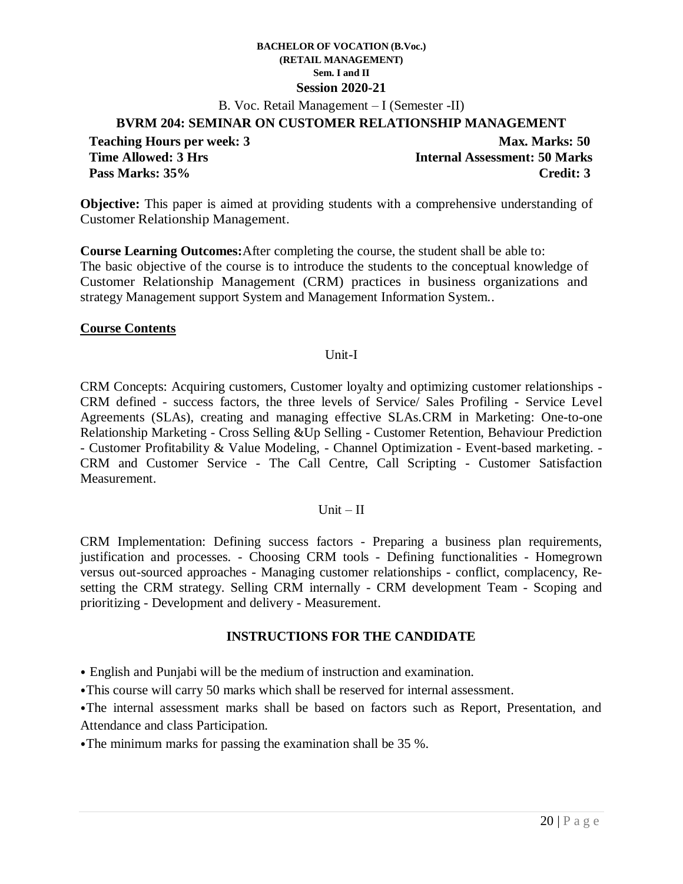B. Voc. Retail Management – I (Semester -II)

## **BVRM 204: SEMINAR ON CUSTOMER RELATIONSHIP MANAGEMENT**

Teaching Hours per week: 3<br>Time Allowed: 3 Hrs **Max. Marks: 50**<br>Internal Assessment: 50 Marks **Internal Assessment: 50 Marks Pass Marks: 35% Credit: 3**

**Objective:** This paper is aimed at providing students with a comprehensive understanding of Customer Relationship Management.

**Course Learning Outcomes:**After completing the course, the student shall be able to: The basic objective of the course is to introduce the students to the conceptual knowledge of Customer Relationship Management (CRM) practices in business organizations and strategy Management support System and Management Information System..

### **Course Contents**

### Unit-I

CRM Concepts: Acquiring customers, Customer loyalty and optimizing customer relationships - CRM defined - success factors, the three levels of Service/ Sales Profiling - Service Level Agreements (SLAs), creating and managing effective SLAs.CRM in Marketing: One-to-one Relationship Marketing - Cross Selling &Up Selling - Customer Retention, Behaviour Prediction - Customer Profitability & Value Modeling, - Channel Optimization - Event-based marketing. - CRM and Customer Service - The Call Centre, Call Scripting - Customer Satisfaction Measurement.

### Unit  $-II$

CRM Implementation: Defining success factors - Preparing a business plan requirements, justification and processes. - Choosing CRM tools - Defining functionalities - Homegrown versus out-sourced approaches - Managing customer relationships - conflict, complacency, Resetting the CRM strategy. Selling CRM internally - CRM development Team - Scoping and prioritizing - Development and delivery - Measurement.

### **INSTRUCTIONS FOR THE CANDIDATE**

⦁ English and Punjabi will be the medium of instruction and examination.

⦁This course will carry 50 marks which shall be reserved for internal assessment.

⦁The internal assessment marks shall be based on factors such as Report, Presentation, and Attendance and class Participation.

⦁The minimum marks for passing the examination shall be 35 %.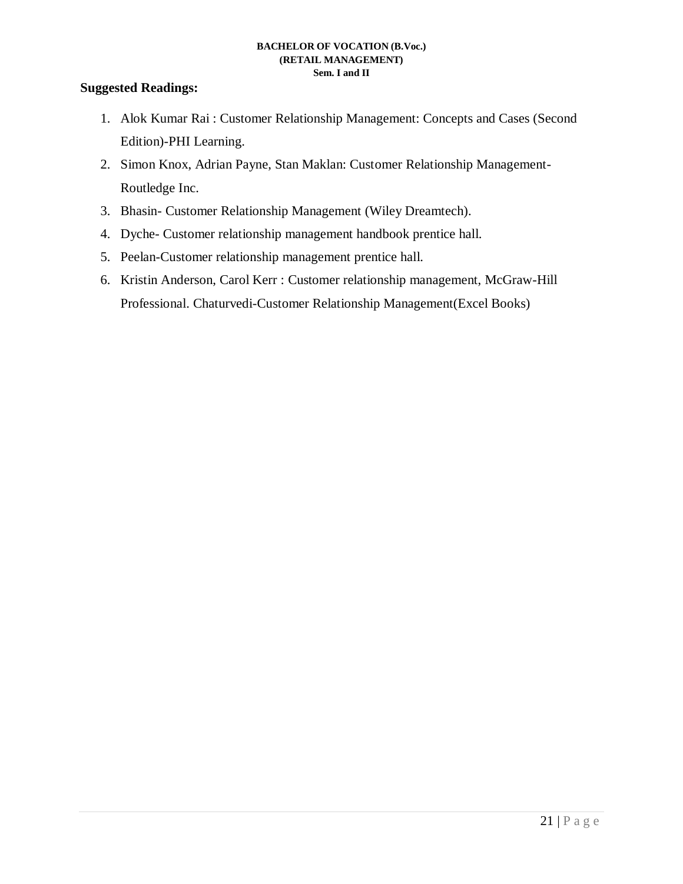- 1. Alok Kumar Rai : Customer Relationship Management: Concepts and Cases (Second Edition)-PHI Learning.
- 2. Simon Knox, Adrian Payne, Stan Maklan: Customer Relationship Management-Routledge Inc.
- 3. Bhasin- Customer Relationship Management (Wiley Dreamtech).
- 4. Dyche- Customer relationship management handbook prentice hall.
- 5. Peelan-Customer relationship management prentice hall.
- 6. Kristin Anderson, Carol Kerr : Customer relationship management, McGraw-Hill Professional. Chaturvedi-Customer Relationship Management(Excel Books)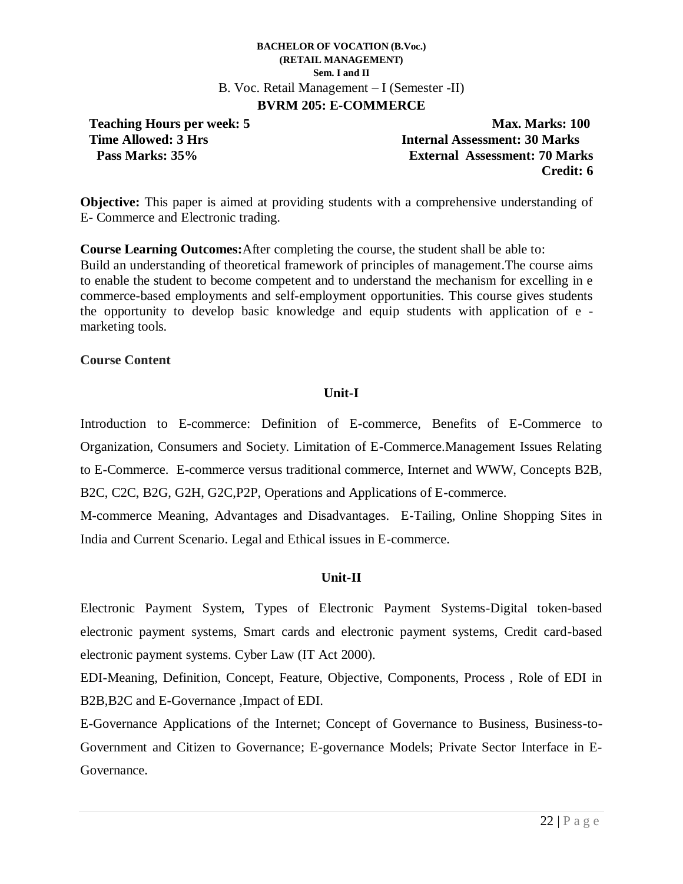### **BACHELOR OF VOCATION (B.Voc.) (RETAIL MANAGEMENT) Sem. I and II** B. Voc. Retail Management – I (Semester -II) **BVRM 205: E-COMMERCE**

**Teaching Hours per week: 5 Max. Marks: 100 Time Allowed: 3 Hrs Internal Assessment: 30 Marks Pass Marks: 35% External Assessment: 70 Marks Credit: 6**

**Objective:** This paper is aimed at providing students with a comprehensive understanding of E- Commerce and Electronic trading.

**Course Learning Outcomes:**After completing the course, the student shall be able to: Build an understanding of theoretical framework of principles of management.The course aims to enable the student to become competent and to understand the mechanism for excelling in e commerce-based employments and self-employment opportunities. This course gives students the opportunity to develop basic knowledge and equip students with application of e marketing tools.

### **Course Content**

## **Unit-I**

Introduction to E-commerce: Definition of E-commerce, Benefits of E-Commerce to Organization, Consumers and Society. Limitation of E-Commerce.Management Issues Relating to E-Commerce. E-commerce versus traditional commerce, Internet and WWW, Concepts B2B, B2C, C2C, B2G, G2H, G2C,P2P, Operations and Applications of E-commerce.

M-commerce Meaning, Advantages and Disadvantages. E-Tailing, Online Shopping Sites in India and Current Scenario. Legal and Ethical issues in E-commerce.

## **Unit-II**

Electronic Payment System, Types of Electronic Payment Systems-Digital token-based electronic payment systems, Smart cards and electronic payment systems, Credit card-based electronic payment systems. Cyber Law (IT Act 2000).

EDI-Meaning, Definition, Concept, Feature, Objective, Components, Process , Role of EDI in B2B,B2C and E-Governance ,Impact of EDI.

E-Governance Applications of the Internet; Concept of Governance to Business, Business-to-Government and Citizen to Governance; E-governance Models; Private Sector Interface in E-Governance.